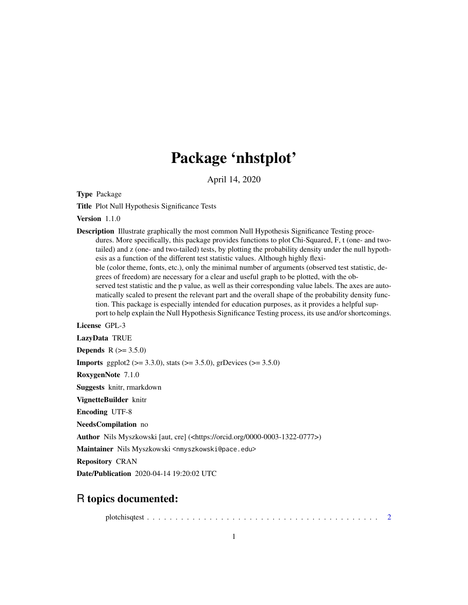## Package 'nhstplot'

April 14, 2020

Type Package

Title Plot Null Hypothesis Significance Tests

Version 1.1.0

Description Illustrate graphically the most common Null Hypothesis Significance Testing procedures. More specifically, this package provides functions to plot Chi-Squared, F, t (one- and twotailed) and z (one- and two-tailed) tests, by plotting the probability density under the null hypothesis as a function of the different test statistic values. Although highly flexible (color theme, fonts, etc.), only the minimal number of arguments (observed test statistic, degrees of freedom) are necessary for a clear and useful graph to be plotted, with the observed test statistic and the p value, as well as their corresponding value labels. The axes are automatically scaled to present the relevant part and the overall shape of the probability density function. This package is especially intended for education purposes, as it provides a helpful support to help explain the Null Hypothesis Significance Testing process, its use and/or shortcomings.

License GPL-3

LazyData TRUE

**Depends**  $R (= 3.5.0)$ 

**Imports** ggplot2 ( $>= 3.3.0$ ), stats ( $>= 3.5.0$ ), grDevices ( $>= 3.5.0$ )

RoxygenNote 7.1.0

Suggests knitr, rmarkdown

VignetteBuilder knitr

Encoding UTF-8

NeedsCompilation no

Author Nils Myszkowski [aut, cre] (<https://orcid.org/0000-0003-1322-0777>)

Maintainer Nils Myszkowski <nmyszkowski@pace.edu>

Repository CRAN

Date/Publication 2020-04-14 19:20:02 UTC

#### R topics documented:

plotchisqtest . . . . . . . . . . . . . . . . . . . . . . . . . . . . . . . . . . . . . . . . . [2](#page-1-0)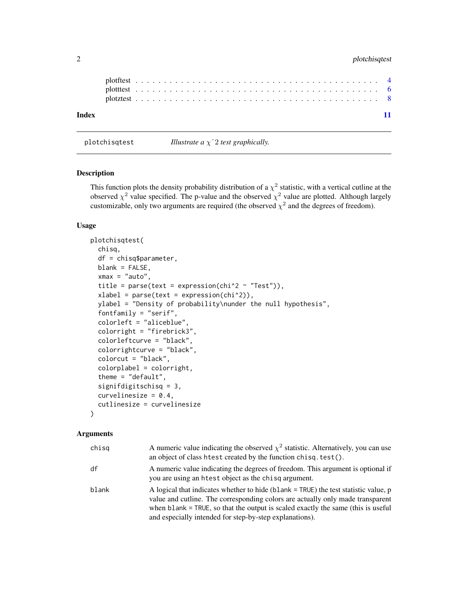#### <span id="page-1-0"></span>2 plotchisqtest

| Index |  |  |  |  |  |  |  |  |  |  |  |  |  |  |  |  |  |  |  |  |  |  |  |
|-------|--|--|--|--|--|--|--|--|--|--|--|--|--|--|--|--|--|--|--|--|--|--|--|
|       |  |  |  |  |  |  |  |  |  |  |  |  |  |  |  |  |  |  |  |  |  |  |  |
|       |  |  |  |  |  |  |  |  |  |  |  |  |  |  |  |  |  |  |  |  |  |  |  |

plotchisqtest *Illustrate a* χˆ2 *test graphically.*

#### Description

This function plots the density probability distribution of a  $\chi^2$  statistic, with a vertical cutline at the observed  $\chi^2$  value specified. The p-value and the observed  $\chi^2$  value are plotted. Although largely customizable, only two arguments are required (the observed  $\chi^2$  and the degrees of freedom).

#### Usage

```
plotchisqtest(
  chisq,
  df = chisq$parameter,
  blank = FALSE,xmax = "auto",
  title = parse(text = expression(chi^2 ~ "Test")),
  xlabel = parse(text) = expression(chi^2),ylabel = "Density of probability\nunder the null hypothesis",
  fontfamily = "serif",
  colorleft = "aliceblue",
  colorright = "firebrick3",
  colorleftcurve = "black",
  colorrightcurve = "black",
  colorcut = "black",
  colorplabel = colorright,
  theme = "default",
  signifdigitschisq = 3,
  curvelinesize = 0.4,
  cutlinesize = curvelinesize
\lambda
```
#### Arguments

| chisg | A numeric value indicating the observed $\chi^2$ statistic. Alternatively, you can use<br>an object of class htest created by the function chisq.test().                                                                                                                                                                 |
|-------|--------------------------------------------------------------------------------------------------------------------------------------------------------------------------------------------------------------------------------------------------------------------------------------------------------------------------|
| df    | A numeric value indicating the degrees of freedom. This argument is optional if<br>you are using an hetst object as the chisq argument.                                                                                                                                                                                  |
| blank | A logical that indicates whether to hide (blank $=$ TRUE) the test statistic value, $p$<br>value and cutline. The corresponding colors are actually only made transparent<br>when blank = TRUE, so that the output is scaled exactly the same (this is useful<br>and especially intended for step-by-step explanations). |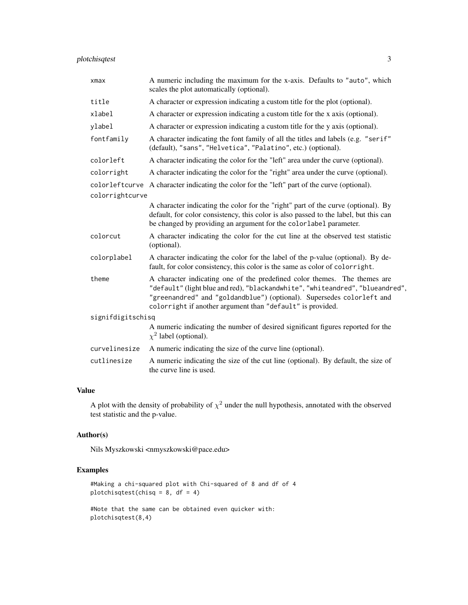#### plotchisqtest 3

| $x$ ma $x$        | A numeric including the maximum for the x-axis. Defaults to "auto", which<br>scales the plot automatically (optional).                                                                                                                                                                            |
|-------------------|---------------------------------------------------------------------------------------------------------------------------------------------------------------------------------------------------------------------------------------------------------------------------------------------------|
| title             | A character or expression indicating a custom title for the plot (optional).                                                                                                                                                                                                                      |
| xlabel            | A character or expression indicating a custom title for the x axis (optional).                                                                                                                                                                                                                    |
| ylabel            | A character or expression indicating a custom title for the y axis (optional).                                                                                                                                                                                                                    |
| fontfamily        | A character indicating the font family of all the titles and labels (e.g. "serif"<br>(default), "sans", "Helvetica", "Palatino", etc.) (optional).                                                                                                                                                |
| colorleft         | A character indicating the color for the "left" area under the curve (optional).                                                                                                                                                                                                                  |
| colorright        | A character indicating the color for the "right" area under the curve (optional).                                                                                                                                                                                                                 |
|                   | colorleftcurve A character indicating the color for the "left" part of the curve (optional).                                                                                                                                                                                                      |
| colorrightcurve   |                                                                                                                                                                                                                                                                                                   |
|                   | A character indicating the color for the "right" part of the curve (optional). By<br>default, for color consistency, this color is also passed to the label, but this can<br>be changed by providing an argument for the colorlabel parameter.                                                    |
| colorcut          | A character indicating the color for the cut line at the observed test statistic<br>(optional).                                                                                                                                                                                                   |
| colorplabel       | A character indicating the color for the label of the p-value (optional). By de-<br>fault, for color consistency, this color is the same as color of colorright.                                                                                                                                  |
| theme             | A character indicating one of the predefined color themes. The themes are<br>"default" (light blue and red), "blackandwhite", "whiteandred", "blueandred",<br>"greenandred" and "goldandblue") (optional). Supersedes colorleft and<br>colorright if another argument than "default" is provided. |
| signifdigitschisq |                                                                                                                                                                                                                                                                                                   |
|                   | A numeric indicating the number of desired significant figures reported for the<br>$\chi^2$ label (optional).                                                                                                                                                                                     |
| curvelinesize     | A numeric indicating the size of the curve line (optional).                                                                                                                                                                                                                                       |
| cutlinesize       | A numeric indicating the size of the cut line (optional). By default, the size of<br>the curve line is used.                                                                                                                                                                                      |

#### Value

A plot with the density of probability of  $\chi^2$  under the null hypothesis, annotated with the observed test statistic and the p-value.

#### Author(s)

Nils Myszkowski <nmyszkowski@pace.edu>

#### Examples

```
#Making a chi-squared plot with Chi-squared of 8 and df of 4
plotchisqtest(chisq = 8, df = 4)
```
#Note that the same can be obtained even quicker with: plotchisqtest(8,4)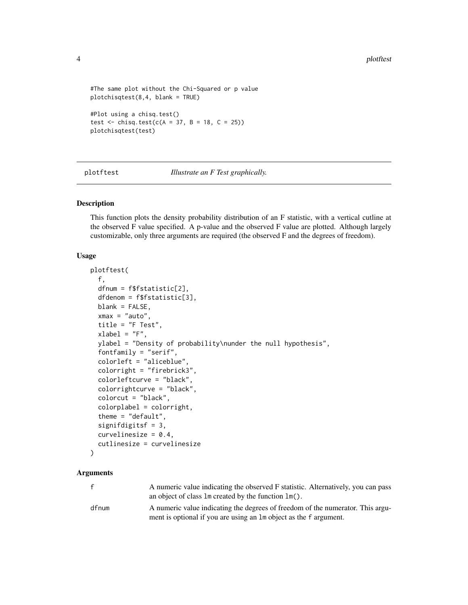```
#The same plot without the Chi-Squared or p value
plotchisqtest(8,4, blank = TRUE)
#Plot using a chisq.test()
test <- chisq.test(c(A = 37, B = 18, C = 25))
plotchisqtest(test)
```
plotftest *Illustrate an F Test graphically.*

#### Description

This function plots the density probability distribution of an F statistic, with a vertical cutline at the observed F value specified. A p-value and the observed F value are plotted. Although largely customizable, only three arguments are required (the observed F and the degrees of freedom).

#### Usage

```
plotftest(
  f,
 dfnum = f$fstatistic[2],
  dfdenom = f$fstatistic[3],
 blank = FALSE,xmax = "auto",
  title = "F Test",
  xlabel = "F",ylabel = "Density of probability\nunder the null hypothesis",
  fontfamily = "serif",
  colorleft = "aliceblue",
  colorright = "firebrick3",
  colorleftcurve = "black",
  colorrightcurve = "black",
  colorcut = "black",
  colorplabel = colorright,
  theme = "default",
  signifdigitsf = 3,
  curvelinesize = 0.4,
  cutlinesize = curvelinesize
)
```
#### Arguments

| $\mathbf{f}$ | A numeric value indicating the observed F statistic. Alternatively, you can pass<br>an object of class $\text{Im}$ created by the function $\text{Im}(\cdot)$ . |
|--------------|-----------------------------------------------------------------------------------------------------------------------------------------------------------------|
| dfnum        | A numeric value indicating the degrees of freedom of the numerator. This argu-<br>ment is optional if you are using an 1m object as the f argument.             |

<span id="page-3-0"></span>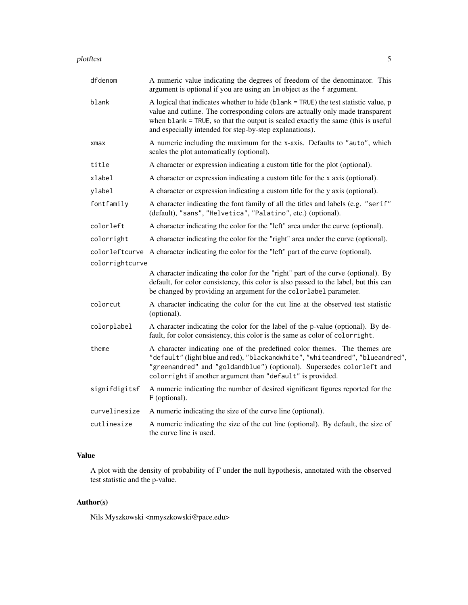| plotftest |  |
|-----------|--|
|           |  |
|           |  |
|           |  |

| dfdenom         | A numeric value indicating the degrees of freedom of the denominator. This<br>argument is optional if you are using an 1m object as the f argument.                                                                                                                                                                  |
|-----------------|----------------------------------------------------------------------------------------------------------------------------------------------------------------------------------------------------------------------------------------------------------------------------------------------------------------------|
| blank           | A logical that indicates whether to hide (blank = TRUE) the test statistic value, p<br>value and cutline. The corresponding colors are actually only made transparent<br>when blank = TRUE, so that the output is scaled exactly the same (this is useful<br>and especially intended for step-by-step explanations). |
| xmax            | A numeric including the maximum for the x-axis. Defaults to "auto", which<br>scales the plot automatically (optional).                                                                                                                                                                                               |
| title           | A character or expression indicating a custom title for the plot (optional).                                                                                                                                                                                                                                         |
| xlabel          | A character or expression indicating a custom title for the x axis (optional).                                                                                                                                                                                                                                       |
| ylabel          | A character or expression indicating a custom title for the y axis (optional).                                                                                                                                                                                                                                       |
| fontfamily      | A character indicating the font family of all the titles and labels (e.g. "serif"<br>(default), "sans", "Helvetica", "Palatino", etc.) (optional).                                                                                                                                                                   |
| colorleft       | A character indicating the color for the "left" area under the curve (optional).                                                                                                                                                                                                                                     |
| colorright      | A character indicating the color for the "right" area under the curve (optional).                                                                                                                                                                                                                                    |
|                 | colorleftcurve A character indicating the color for the "left" part of the curve (optional).                                                                                                                                                                                                                         |
| colorrightcurve |                                                                                                                                                                                                                                                                                                                      |
|                 | A character indicating the color for the "right" part of the curve (optional). By<br>default, for color consistency, this color is also passed to the label, but this can<br>be changed by providing an argument for the colorlabel parameter.                                                                       |
| colorcut        | A character indicating the color for the cut line at the observed test statistic<br>(optional).                                                                                                                                                                                                                      |
| colorplabel     | A character indicating the color for the label of the p-value (optional). By de-<br>fault, for color consistency, this color is the same as color of colorright.                                                                                                                                                     |
| theme           | A character indicating one of the predefined color themes. The themes are<br>"default" (light blue and red), "blackandwhite", "whiteandred", "blueandred",<br>"greenandred" and "goldandblue") (optional). Supersedes colorleft and<br>colorright if another argument than "default" is provided.                    |
| signifdigitsf   | A numeric indicating the number of desired significant figures reported for the<br>F (optional).                                                                                                                                                                                                                     |
| curvelinesize   | A numeric indicating the size of the curve line (optional).                                                                                                                                                                                                                                                          |
| cutlinesize     | A numeric indicating the size of the cut line (optional). By default, the size of<br>the curve line is used.                                                                                                                                                                                                         |

#### Value

A plot with the density of probability of F under the null hypothesis, annotated with the observed test statistic and the p-value.

#### Author(s)

Nils Myszkowski <nmyszkowski@pace.edu>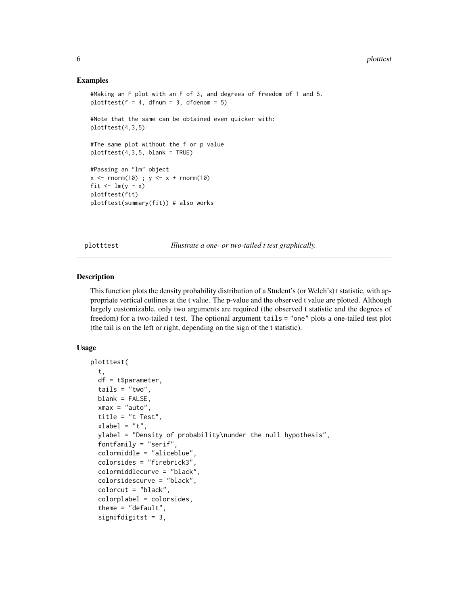#### Examples

```
#Making an F plot with an F of 3, and degrees of freedom of 1 and 5.
plotftest(f = 4, dfnum = 3, dfdenom = 5)
#Note that the same can be obtained even quicker with:
plotftest(4,3,5)
#The same plot without the f or p value
plotftest(4,3,5, blank = TRUE)#Passing an "lm" object
x \le - rnorm(10) ; y \le -x + rnorm(10)
fit \leftarrow \text{lm}(y \sim x)plotftest(fit)
plotftest(summary(fit)) # also works
```
plotttest *Illustrate a one- or two-tailed t test graphically.*

#### Description

This function plots the density probability distribution of a Student's (or Welch's) t statistic, with appropriate vertical cutlines at the t value. The p-value and the observed t value are plotted. Although largely customizable, only two arguments are required (the observed t statistic and the degrees of freedom) for a two-tailed t test. The optional argument tails = "one" plots a one-tailed test plot (the tail is on the left or right, depending on the sign of the t statistic).

#### Usage

```
plotttest(
  t,
  df = t$parameter,
  tails = "two",blank = FALSE,xmax = "auto",
  title = "t Test",
  xlabel = "t",ylabel = "Density of probability\nunder the null hypothesis",
  fontfamily = "serif",
  colormiddle = "aliceblue",
  colorsides = "firebrick3",
  colormiddlecurve = "black",
  colorsidescurve = "black",
  colorcut = "black",
  colorplabel = colorsides,
  theme = "default",signifdigitst = 3,
```
<span id="page-5-0"></span>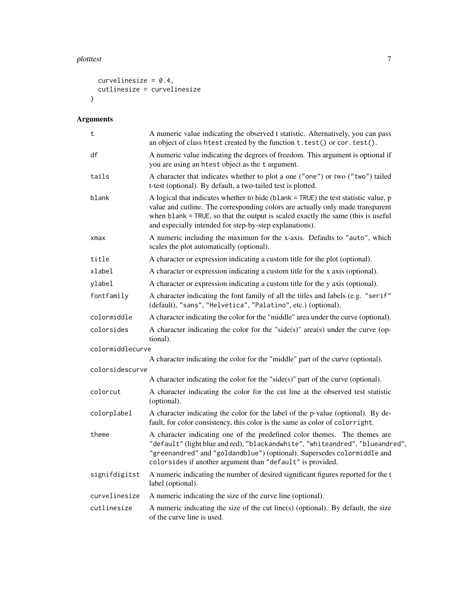#### plotttest 7 and 7 and 7 and 7 and 7 and 7 and 7 and 7 and 7 and 7 and 7 and 7 and 7 and 7 and 7 and 7 and 7 and 7 and 7 and 7 and 7 and 7 and 7 and 7 and 7 and 7 and 7 and 7 and 7 and 7 and 7 and 7 and 7 and 7 and 7 and 7

```
curvelinesize = 0.4,
 cutlinesize = curvelinesize
\lambda
```
### Arguments

| t                | A numeric value indicating the observed t statistic. Alternatively, you can pass<br>an object of class htest created by the function t. test() or cor. test().                                                                                                                                                       |
|------------------|----------------------------------------------------------------------------------------------------------------------------------------------------------------------------------------------------------------------------------------------------------------------------------------------------------------------|
| df               | A numeric value indicating the degrees of freedom. This argument is optional if<br>you are using an htest object as the t argument.                                                                                                                                                                                  |
| tails            | A character that indicates whether to plot a one ("one") or two ("two") tailed<br>t-test (optional). By default, a two-tailed test is plotted.                                                                                                                                                                       |
| blank            | A logical that indicates whether to hide (blank = TRUE) the test statistic value, p<br>value and cutline. The corresponding colors are actually only made transparent<br>when blank = TRUE, so that the output is scaled exactly the same (this is useful<br>and especially intended for step-by-step explanations). |
| xmax             | A numeric including the maximum for the x-axis. Defaults to "auto", which<br>scales the plot automatically (optional).                                                                                                                                                                                               |
| title            | A character or expression indicating a custom title for the plot (optional).                                                                                                                                                                                                                                         |
| xlabel           | A character or expression indicating a custom title for the x axis (optional).                                                                                                                                                                                                                                       |
| ylabel           | A character or expression indicating a custom title for the y axis (optional).                                                                                                                                                                                                                                       |
| fontfamily       | A character indicating the font family of all the titles and labels (e.g. "serif"<br>(default), "sans", "Helvetica", "Palatino", etc.) (optional).                                                                                                                                                                   |
| colormiddle      | A character indicating the color for the "middle" area under the curve (optional).                                                                                                                                                                                                                                   |
| colorsides       | A character indicating the color for the "side(s)" area(s) under the curve (op-<br>tional).                                                                                                                                                                                                                          |
| colormiddlecurve |                                                                                                                                                                                                                                                                                                                      |
|                  | A character indicating the color for the "middle" part of the curve (optional).                                                                                                                                                                                                                                      |
| colorsidescurve  | A character indicating the color for the "side(s)" part of the curve (optional).                                                                                                                                                                                                                                     |
| colorcut         | A character indicating the color for the cut line at the observed test statistic<br>(optional).                                                                                                                                                                                                                      |
| colorplabel      | A character indicating the color for the label of the p-value (optional). By de-<br>fault, for color consistency, this color is the same as color of colorright.                                                                                                                                                     |
| theme            | A character indicating one of the predefined color themes. The themes are<br>"default" (light blue and red), "blackandwhite", "whiteandred", "blueandred",<br>"greenandred" and "goldandblue") (optional). Supersedes colormiddle and<br>colorsides if another argument than "default" is provided.                  |
| signifdigitst    | A numeric indicating the number of desired significant figures reported for the t<br>label (optional).                                                                                                                                                                                                               |
| curvelinesize    | A numeric indicating the size of the curve line (optional).                                                                                                                                                                                                                                                          |
| cutlinesize      | A numeric indicating the size of the cut line(s) (optional). By default, the size<br>of the curve line is used.                                                                                                                                                                                                      |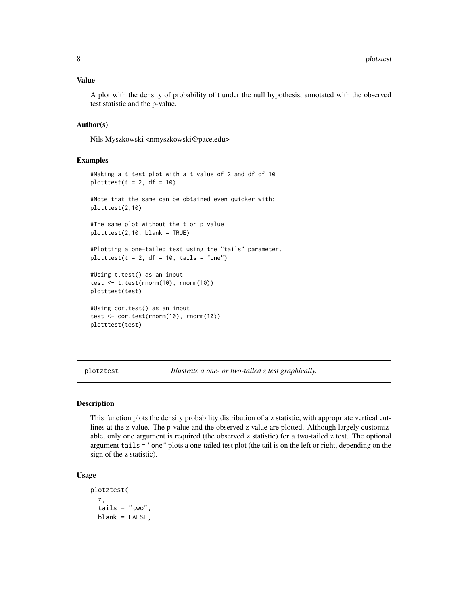#### <span id="page-7-0"></span>Value

A plot with the density of probability of t under the null hypothesis, annotated with the observed test statistic and the p-value.

#### Author(s)

Nils Myszkowski <nmyszkowski@pace.edu>

#### Examples

```
#Making a t test plot with a t value of 2 and df of 10
plotttest(t = 2, df = 10)
#Note that the same can be obtained even quicker with:
plotttest(2,10)
#The same plot without the t or p value
plotttest(2,10, blank = TRUE)
#Plotting a one-tailed test using the "tails" parameter.
plotttest(t = 2, df = 10, tails = "one")
#Using t.test() as an input
test <- t.test(rnorm(10), rnorm(10))
plotttest(test)
#Using cor.test() as an input
test <- cor.test(rnorm(10), rnorm(10))
plotttest(test)
```
plotztest *Illustrate a one- or two-tailed z test graphically.*

#### Description

This function plots the density probability distribution of a z statistic, with appropriate vertical cutlines at the z value. The p-value and the observed z value are plotted. Although largely customizable, only one argument is required (the observed z statistic) for a two-tailed z test. The optional argument tails = "one" plots a one-tailed test plot (the tail is on the left or right, depending on the sign of the z statistic).

#### Usage

```
plotztest(
 z,
  tails = "two",blank = FALSE,
```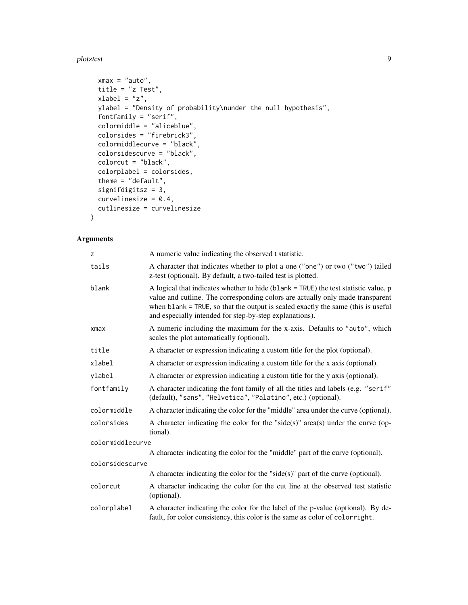#### plotztest 9

```
xmax = "auto",
title = "z Test",
xlabel = "z",ylabel = "Density of probability\nunder the null hypothesis",
fontfamily = "serif",
colormiddle = "aliceblue",
colorsides = "firebrick3",
colormiddlecurve = "black",
colorsidescurve = "black",
colorcut = "black",
colorplabel = colorsides,
theme = "default",signifdigitsz = 3,
curvelinesize = 0.4,
cutlinesize = curvelinesize
```
#### Arguments

 $\mathcal{L}$ 

| z                | A numeric value indicating the observed t statistic.                                                                                                                                                                                                                                                                 |
|------------------|----------------------------------------------------------------------------------------------------------------------------------------------------------------------------------------------------------------------------------------------------------------------------------------------------------------------|
| tails            | A character that indicates whether to plot a one ("one") or two ("two") tailed<br>z-test (optional). By default, a two-tailed test is plotted.                                                                                                                                                                       |
| blank            | A logical that indicates whether to hide (blank = TRUE) the test statistic value, p<br>value and cutline. The corresponding colors are actually only made transparent<br>when blank = TRUE, so that the output is scaled exactly the same (this is useful<br>and especially intended for step-by-step explanations). |
| $x$ ma $x$       | A numeric including the maximum for the x-axis. Defaults to "auto", which<br>scales the plot automatically (optional).                                                                                                                                                                                               |
| title            | A character or expression indicating a custom title for the plot (optional).                                                                                                                                                                                                                                         |
| xlabel           | A character or expression indicating a custom title for the x axis (optional).                                                                                                                                                                                                                                       |
| ylabel           | A character or expression indicating a custom title for the y axis (optional).                                                                                                                                                                                                                                       |
| fontfamily       | A character indicating the font family of all the titles and labels (e.g. "serif"<br>(default), "sans", "Helvetica", "Palatino", etc.) (optional).                                                                                                                                                                   |
| colormiddle      | A character indicating the color for the "middle" area under the curve (optional).                                                                                                                                                                                                                                   |
| colorsides       | A character indicating the color for the "side(s)" area(s) under the curve (op-<br>tional).                                                                                                                                                                                                                          |
| colormiddlecurve |                                                                                                                                                                                                                                                                                                                      |
|                  | A character indicating the color for the "middle" part of the curve (optional).                                                                                                                                                                                                                                      |
| colorsidescurve  |                                                                                                                                                                                                                                                                                                                      |
|                  | A character indicating the color for the "side(s)" part of the curve (optional).                                                                                                                                                                                                                                     |
| colorcut         | A character indicating the color for the cut line at the observed test statistic<br>(optional).                                                                                                                                                                                                                      |
| colorplabel      | A character indicating the color for the label of the p-value (optional). By de-<br>fault, for color consistency, this color is the same as color of colorright.                                                                                                                                                     |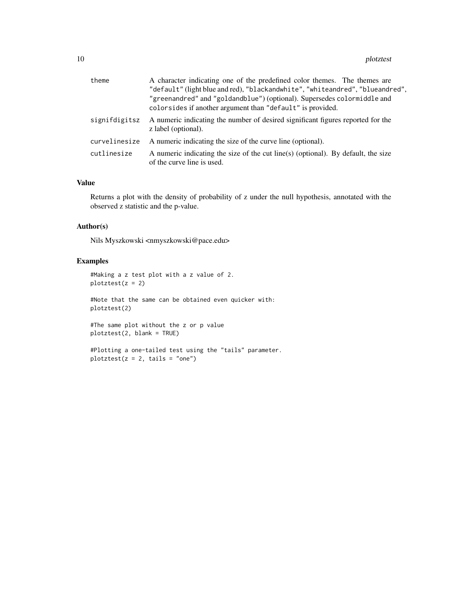| theme         | A character indicating one of the predefined color themes. The themes are<br>"default" (light blue and red), "blackandwhite", "whiteandred", "blueandred",<br>"greenandred" and "goldandblue") (optional). Supersedes colormiddle and<br>colorsides if another argument than "default" is provided. |
|---------------|-----------------------------------------------------------------------------------------------------------------------------------------------------------------------------------------------------------------------------------------------------------------------------------------------------|
| signifdigitsz | A numeric indicating the number of desired significant figures reported for the<br>z label (optional).                                                                                                                                                                                              |
| curvelinesize | A numeric indicating the size of the curve line (optional).                                                                                                                                                                                                                                         |
| cutlinesize   | A numeric indicating the size of the cut line(s) (optional). By default, the size<br>of the curve line is used.                                                                                                                                                                                     |

#### Value

Returns a plot with the density of probability of z under the null hypothesis, annotated with the observed z statistic and the p-value.

#### Author(s)

Nils Myszkowski <nmyszkowski@pace.edu>

#### Examples

#Making a z test plot with a z value of 2.  $plotztest(z = 2)$ 

#Note that the same can be obtained even quicker with: plotztest(2)

#The same plot without the z or p value plotztest(2, blank = TRUE)

```
#Plotting a one-tailed test using the "tails" parameter.
plotztest(z = 2, tails = "one")
```